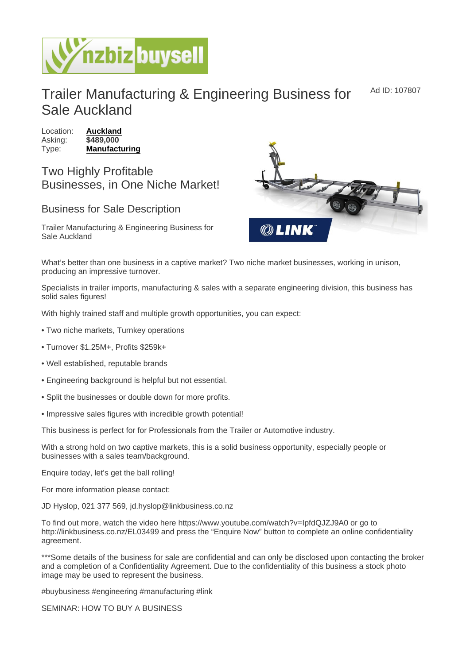## Trailer Manufacturing & Engineering Business for Sale Auckland Ad ID: 107807

Location: [Auckland](https://www.nzbizbuysell.co.nz/businesses-for-sale/location/Auckland) Asking: \$489,000 Type: [Manufacturing](https://www.nzbizbuysell.co.nz/businesses-for-sale/Manufacturing/New-Zealand)

Two Highly Profitable Businesses, in One Niche Market!

## Business for Sale Description

Trailer Manufacturing & Engineering Business for Sale Auckland

What's better than one business in a captive market? Two niche market businesses, working in unison, producing an impressive turnover.

Specialists in trailer imports, manufacturing & sales with a separate engineering division, this business has solid sales figures!

With highly trained staff and multiple growth opportunities, you can expect:

- Two niche markets, Turnkey operations
- Turnover \$1.25M+, Profits \$259k+
- Well established, reputable brands
- Engineering background is helpful but not essential.
- Split the businesses or double down for more profits.
- Impressive sales figures with incredible growth potential!

This business is perfect for for Professionals from the Trailer or Automotive industry.

With a strong hold on two captive markets, this is a solid business opportunity, especially people or businesses with a sales team/background.

Enquire today, let's get the ball rolling!

For more information please contact:

JD Hyslop, 021 377 569, jd.hyslop@linkbusiness.co.nz

To find out more, watch the video here https://www.youtube.com/watch?v=IpfdQJZJ9A0 or go to http://linkbusiness.co.nz/EL03499 and press the "Enquire Now" button to complete an online confidentiality agreement.

\*\*\*Some details of the business for sale are confidential and can only be disclosed upon contacting the broker and a completion of a Confidentiality Agreement. Due to the confidentiality of this business a stock photo image may be used to represent the business.

#buybusiness #engineering #manufacturing #link

SEMINAR: HOW TO BUY A BUSINESS